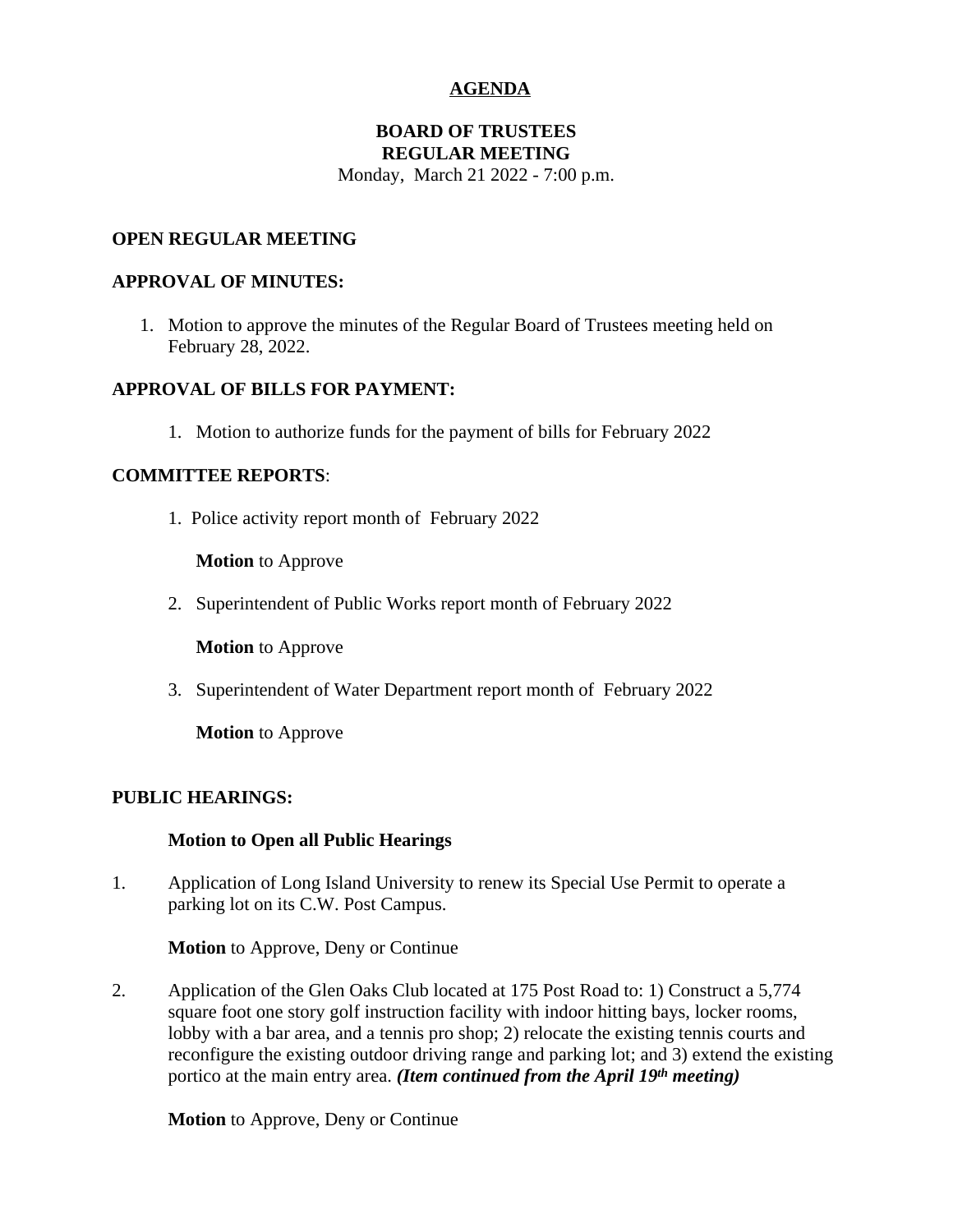# **AGENDA**

#### **BOARD OF TRUSTEES REGULAR MEETING**

Monday, March 21 2022 - 7:00 p.m.

### **OPEN REGULAR MEETING**

#### **APPROVAL OF MINUTES:**

1. Motion to approve the minutes of the Regular Board of Trustees meeting held on February 28, 2022.

# **APPROVAL OF BILLS FOR PAYMENT:**

1. Motion to authorize funds for the payment of bills for February 2022

### **COMMITTEE REPORTS**:

1. Police activity report month of February 2022

**Motion** to Approve

2. Superintendent of Public Works report month of February 2022

**Motion** to Approve

3. Superintendent of Water Department report month of February 2022

**Motion** to Approve

### **PUBLIC HEARINGS:**

### **Motion to Open all Public Hearings**

1. Application of Long Island University to renew its Special Use Permit to operate a parking lot on its C.W. Post Campus.

### **Motion** to Approve, Deny or Continue

2. Application of the Glen Oaks Club located at 175 Post Road to: 1) Construct a 5,774 square foot one story golf instruction facility with indoor hitting bays, locker rooms, lobby with a bar area, and a tennis pro shop; 2) relocate the existing tennis courts and reconfigure the existing outdoor driving range and parking lot; and 3) extend the existing portico at the main entry area. *(Item continued from the April 19th meeting)*

**Motion** to Approve, Deny or Continue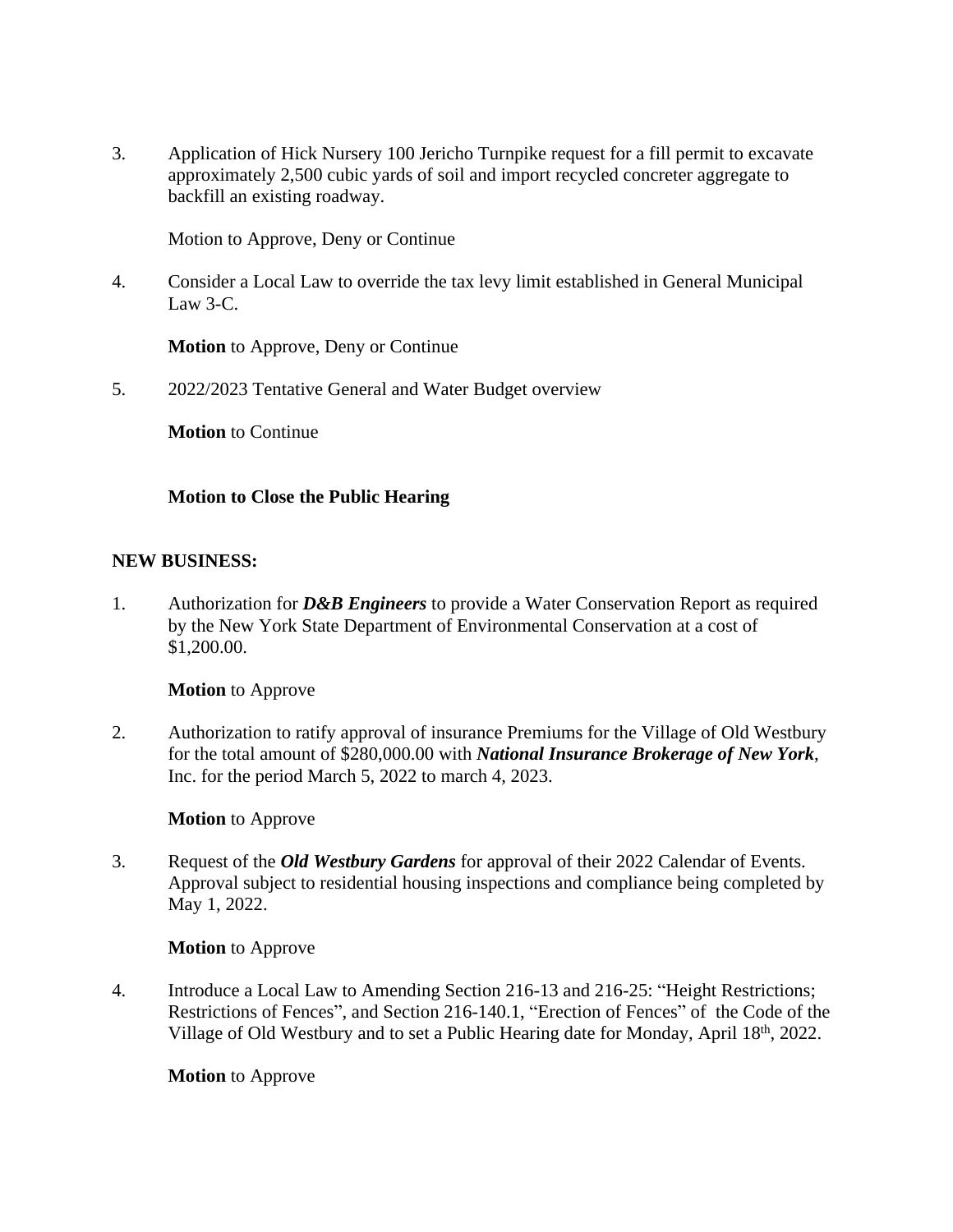3. Application of Hick Nursery 100 Jericho Turnpike request for a fill permit to excavate approximately 2,500 cubic yards of soil and import recycled concreter aggregate to backfill an existing roadway.

Motion to Approve, Deny or Continue

4. Consider a Local Law to override the tax levy limit established in General Municipal Law  $3-C$ .

**Motion** to Approve, Deny or Continue

5. 2022/2023 Tentative General and Water Budget overview

**Motion** to Continue

# **Motion to Close the Public Hearing**

### **NEW BUSINESS:**

1. Authorization for *D&B Engineers* to provide a Water Conservation Report as required by the New York State Department of Environmental Conservation at a cost of \$1,200.00.

### **Motion** to Approve

2. Authorization to ratify approval of insurance Premiums for the Village of Old Westbury for the total amount of \$280,000.00 with *National Insurance Brokerage of New York*, Inc. for the period March 5, 2022 to march 4, 2023.

### **Motion** to Approve

3. Request of the *Old Westbury Gardens* for approval of their 2022 Calendar of Events. Approval subject to residential housing inspections and compliance being completed by May 1, 2022.

### **Motion** to Approve

4. Introduce a Local Law to Amending Section 216-13 and 216-25: "Height Restrictions; Restrictions of Fences", and Section 216-140.1, "Erection of Fences" of the Code of the Village of Old Westbury and to set a Public Hearing date for Monday, April 18th, 2022.

### **Motion** to Approve